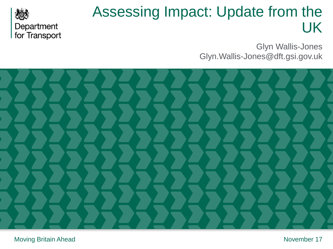

## Assessing Impact: Update from the UK

Glyn Wallis-Jones Glyn.Wallis-Jones@dft.gsi.gov.uk

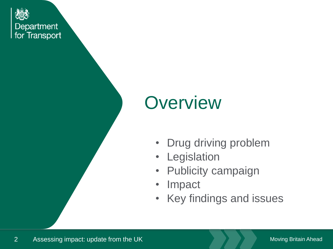Department for Transport

# **Overview**

- Drug driving problem
- Legislation
- Publicity campaign
- Impact
- Key findings and issues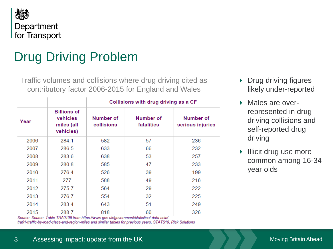

## Drug Driving Problem

Traffic volumes and collisions where drug driving cited as contributory factor 2006-2015 for England and Wales

|      |                                                           | Collisions with drug driving as a CF |                         |                               |  |
|------|-----------------------------------------------------------|--------------------------------------|-------------------------|-------------------------------|--|
| Year | <b>Billions of</b><br>vehicles<br>miles (all<br>vehicles) | Number of<br>collisions              | Number of<br>fatalities | Number of<br>serious injuries |  |
| 2006 | 284.1                                                     | 582                                  | 57                      | 236                           |  |
| 2007 | 286.5                                                     | 633                                  | 66                      | 232                           |  |
| 2008 | 283.6                                                     | 638                                  | 53                      | 257                           |  |
| 2009 | 280.8                                                     | 585                                  | 47                      | 233                           |  |
| 2010 | 276.4                                                     | 526                                  | 39                      | 199                           |  |
| 2011 | 277                                                       | 588                                  | 49                      | 216                           |  |
| 2012 | 275.7                                                     | 564                                  | 29                      | 222                           |  |
| 2013 | 276.7                                                     | 554                                  | 32                      | 225                           |  |
| 2014 | 283.4                                                     | 643                                  | 51                      | 249                           |  |
| 2015 | 288.7                                                     | 818                                  | 60                      | 326                           |  |

Source: Source: Table TRA0106 from https://www.gov.uk/government/statistical-data-sets/ tra01-traffic-by-road-class-and-region-miles and similar tables for previous years, STATS19, Risk Solutions

- ▶ Drug driving figures likely under-reported
- Males are overrepresented in drug driving collisions and self-reported drug driving
- **Illicit drug use more** common among 16-34 year olds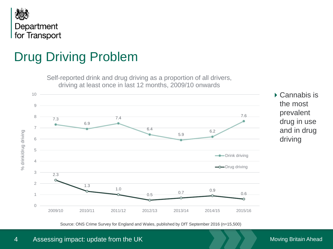

## Drug Driving Problem



Source: ONS Crime Survey for England and Wales, published by DfT September 2016 (n=15,500)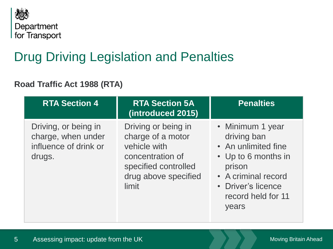

## Drug Driving Legislation and Penalties

### **Road Traffic Act 1988 (RTA)**

| <b>RTA Section 4</b>                                                          | <b>RTA Section 5A</b><br>(introduced 2015)                                                                                            | <b>Penalties</b>                                                                                                                                                    |
|-------------------------------------------------------------------------------|---------------------------------------------------------------------------------------------------------------------------------------|---------------------------------------------------------------------------------------------------------------------------------------------------------------------|
| Driving, or being in<br>charge, when under<br>influence of drink or<br>drugs. | Driving or being in<br>charge of a motor<br>vehicle with<br>concentration of<br>specified controlled<br>drug above specified<br>limit | • Minimum 1 year<br>driving ban<br>• An unlimited fine<br>• Up to 6 months in<br>prison<br>• A criminal record<br>• Driver's licence<br>record held for 11<br>years |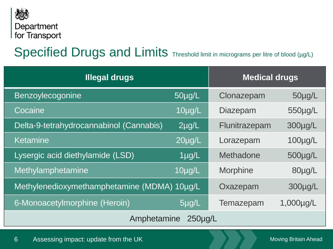

### Specified Drugs and Limits Threshold limit in micrograms per litre of blood (µg/L)

| <b>Illegal drugs</b>                        | <b>Medical drugs</b> |                 |              |  |  |
|---------------------------------------------|----------------------|-----------------|--------------|--|--|
| Benzoylecogonine                            | 50µg/L               | Clonazepam      | 50µg/L       |  |  |
| Cocaine                                     | 10µg/L               | <b>Diazepam</b> | 550µg/L      |  |  |
| Delta-9-tetrahydrocannabinol (Cannabis)     | $2\mu g/L$           | Flunitrazepam   | 300µg/L      |  |  |
| Ketamine                                    | $20\mu g/L$          | Lorazepam       | $100\mu g/L$ |  |  |
| Lysergic acid diethylamide (LSD)            | $1\mu g/L$           | Methadone       | $500\mu g/L$ |  |  |
| Methylamphetamine                           | 10µg/L               | <b>Morphine</b> | 80µg/L       |  |  |
| Methylenedioxymethamphetamine (MDMA) 10µg/L |                      | Oxazepam        | 300µg/L      |  |  |
| 6-Monoacetylmorphine (Heroin)               | $5\mu g/L$           | Temazepam       | 1,000µg/L    |  |  |
| Amphetamine<br>250 <sub>µq</sub> /L         |                      |                 |              |  |  |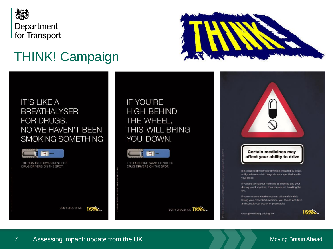

## THINK! Campaign



### **IT'S LIKE A BREATHALYSER** FOR DRUGS. NO WE HAVEN'T BEEN SMOKING SOMETHING



THE ROADSIDE SWAB IDENTIFIES DRUG DRIVERS ON THE SPOT.

IF YOU'RE **HIGH BEHIND** THE WHEEL, THIS WILL BRING YOU DOWN.



THE ROADSIDE SWAB IDENTIFIES DRUG DRIVERS ON THE SPOT.

DON'T DRUG DRIVE THING

**Certain medicines may** affect your ability to drive

It is illegal to drive if your driving is impaired by drugs, or if you have certain drugs above a specified level in your blood.

If you are taking your medicine as directed and your driving is not impaired, then you are not breaking the law.

If you're unsure whether you can drive safely while taking your prescribed medicine, you should not drive and consult your doctor or pharmacist.

www.gov.uk/drug-driving-law



7 Assessing impact: update from the UK

THING.

DON'T DRUG DRIVE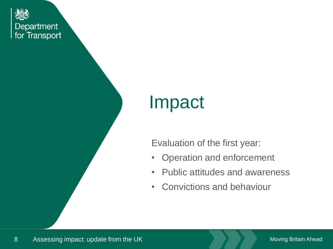Department I for Transport

## Impact

Evaluation of the first year:

- Operation and enforcement
- Public attitudes and awareness
- Convictions and behaviour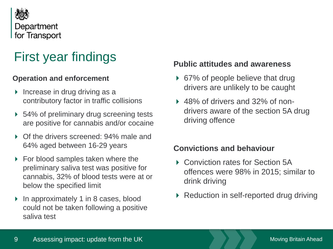

### First year findings

#### **Operation and enforcement**

- $\triangleright$  Increase in drug driving as a contributory factor in traffic collisions
- ▶ 54% of preliminary drug screening tests are positive for cannabis and/or cocaine
- Of the drivers screened: 94% male and 64% aged between 16-29 years
- ▶ For blood samples taken where the preliminary saliva test was positive for cannabis, 32% of blood tests were at or below the specified limit
- ▶ In approximately 1 in 8 cases, blood could not be taken following a positive saliva test

### **Public attitudes and awareness**

- ▶ 67% of people believe that drug drivers are unlikely to be caught
- ▶ 48% of drivers and 32% of nondrivers aware of the section 5A drug driving offence

### **Convictions and behaviour**

- ▶ Conviction rates for Section 5A offences were 98% in 2015; similar to drink driving
- ▶ Reduction in self-reported drug driving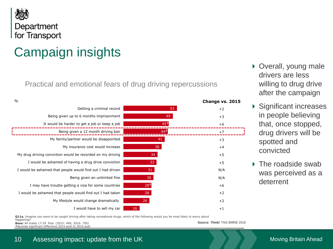

## Campaign insights

continue to outperform emotional concerns

Practical and emotional fears of drug driving repercussions

| $\frac{0}{0}$                                              |                 | Change vs. 2015 |
|------------------------------------------------------------|-----------------|-----------------|
| Getting a criminal record                                  | 53              | $+2$            |
| Being given up to 6 months imprisonment                    | 49              | $+3$            |
| It would be harder to get a job or keep a job              | 45 <sup>†</sup> | $+6$            |
| Being given a 12 month driving ban                         | 44†             | $+7$            |
| My family/partner would be disappointed                    | 41              | $+3$            |
| My insurance cost would increase                           | 38              | $+4$            |
| My drug driving conviction would be recorded on my driving | 34              | $+5$            |
| I would be ashamed of having a drug drive conviction       | 33              | $+5$            |
| I would be ashamed that people would find out I had driven | 31              | N/A             |
| Being given an unlimited fine                              | 30 <sup>°</sup> | N/A             |
| I may have trouble getting a visa for some countries       | 28 <sup>†</sup> | $+6$            |
| I would be ashamed that people would find out I had taken  | 28              | $+2$            |
| My lifestyle would change dramatically                     | 26 <sup>°</sup> | $+2$            |
| I would have to sell my car                                | 16              | $+1$            |
|                                                            |                 |                 |

- ▶ Overall, young male drivers are less willing to drug drive after the campaign
- ▶ Significant increases in people believing that, once stopped, drug drivers will be spotted and convicted
- ▶ The roadside swab was perceived as a deterrent

**Q11a.** Imagine you were to be caught driving after taking recreational drugs, which of the following would you be most likely to worry about

happening? **Base:** All males 17-29 Post (2015: 499; 2016: 750) **†**denotes significant difference 2015 post to 2016 post

**Source**: *Think!* TNS BMRB 2016

35

10 Assessing impact: update from the UK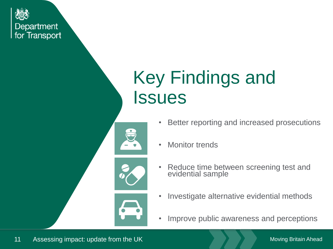

# Key Findings and **Issues**



- **Monitor trends**
- Reduce time between screening test and evidential sample
- Investigate alternative evidential methods
- Improve public awareness and perceptions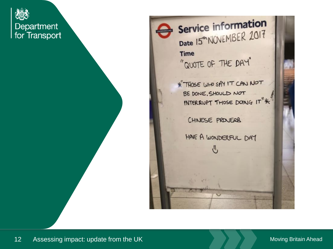**Department** I for Transport



Service information Date 15<sup>th</sup> NOVEMBER 2017 **Time** "QUOTE OF THE DAY"

\* THOSE WHO SAY IT CAN NOT BE DONE, SHOULD NOT INTERRUPT THOSE DOING IT"\*

CHINESE PROJERB

♨

HAVE A WONDERFUL DAY